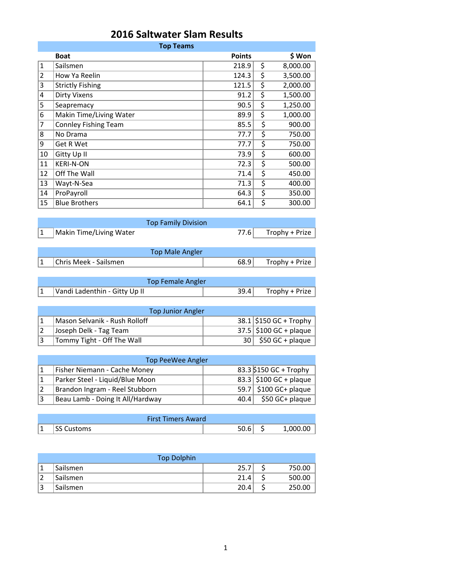| <b>2016 Saltwater Slam Results</b> |  |
|------------------------------------|--|
|------------------------------------|--|

| <b>Top Teams</b> |                             |               |    |          |  |
|------------------|-----------------------------|---------------|----|----------|--|
|                  | <b>Boat</b>                 | <b>Points</b> |    | \$ Won   |  |
| $\mathbf{1}$     | Sailsmen                    | 218.9         | \$ | 8,000.00 |  |
| $\overline{2}$   | How Ya Reelin               | 124.3         | \$ | 3,500.00 |  |
| 3                | <b>Strictly Fishing</b>     | 121.5         | \$ | 2,000.00 |  |
| 4                | <b>Dirty Vixens</b>         | 91.2          | \$ | 1,500.00 |  |
| 5                | Seapremacy                  | 90.5          | \$ | 1,250.00 |  |
| 6                | Makin Time/Living Water     | 89.9          | \$ | 1,000.00 |  |
| 7                | <b>Connley Fishing Team</b> | 85.5          | \$ | 900.00   |  |
| 8                | No Drama                    | 77.7          | \$ | 750.00   |  |
| 9                | Get R Wet                   | 77.7          | \$ | 750.00   |  |
| 10               | Gitty Up II                 | 73.9          | \$ | 600.00   |  |
| 11               | <b>KERI-N-ON</b>            | 72.3          | \$ | 500.00   |  |
| 12               | Off The Wall                | 71.4          | \$ | 450.00   |  |
| 13               | Wayt-N-Sea                  | 71.3          | \$ | 400.00   |  |
| 14               | ProPayroll                  | 64.3          | \$ | 350.00   |  |
| 15               | <b>Blue Brothers</b>        | 64.1          | \$ | 300.00   |  |

|                         | <b>Top Family Division</b> |                     |
|-------------------------|----------------------------|---------------------|
| Makin Time/Living Water |                            | 77.6 Trophy + Prize |
|                         |                            |                     |
|                         | Top Male Angler            |                     |

| Top Male Angler       |      |                |
|-----------------------|------|----------------|
| Chris Meek - Sailsmen | 68.9 | Trophy + Prize |
|                       |      |                |

| Top Female Angler             |                       |
|-------------------------------|-----------------------|
| Vandi Ladenthin - Gitty Up II | $39.4$ Trophy + Prize |

| <b>Top Junior Angler</b>      |  |                           |  |  |  |
|-------------------------------|--|---------------------------|--|--|--|
| Mason Selvanik - Rush Rolloff |  | $38.1$ \$150 GC + Trophy  |  |  |  |
| Joseph Delk - Tag Team        |  | $37.5$ \$100 GC + plaque  |  |  |  |
| Tommy Tight - Off The Wall    |  | $30 \mid 550$ GC + plaque |  |  |  |

| Top PeeWee Angler                |      |                         |  |  |  |  |
|----------------------------------|------|-------------------------|--|--|--|--|
| Fisher Niemann - Cache Money     |      | 83.3 \$150 GC + Trophy  |  |  |  |  |
| Parker Steel - Liquid/Blue Moon  |      | 83.3 \$100 GC + plaque  |  |  |  |  |
| Brandon Ingram - Reel Stubborn   |      | $59.7$ \$100 GC+ plaque |  |  |  |  |
| Beau Lamb - Doing It All/Hardway | 40.4 | \$50 GC+ plaque         |  |  |  |  |

|   | <b>First Timers Award</b> |      |          |
|---|---------------------------|------|----------|
| ᆠ | <b>SS Customs</b>         | 50.6 | 1,000.00 |

|   | <b>Top Dolphin</b> |      |        |
|---|--------------------|------|--------|
|   | Sailsmen           | 25.7 | 750.00 |
|   | Sailsmen           | 21.4 | 500.00 |
| Э | Sailsmen           | 20.4 | 250.00 |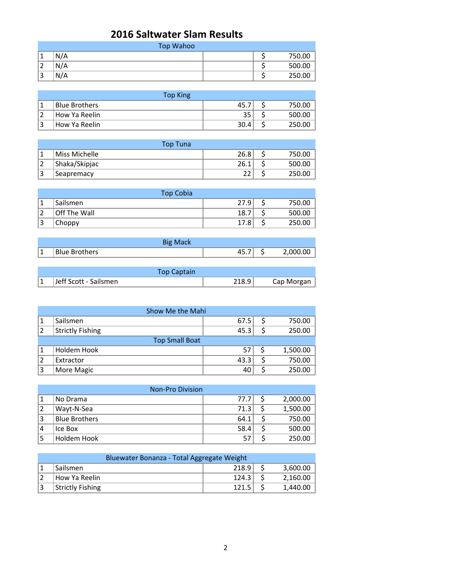## **2016 Saltwater Slam Results**

|                   | Top Wahoo |  |        |  |  |
|-------------------|-----------|--|--------|--|--|
|                   | N/A       |  | 750.00 |  |  |
| ∠                 | N/A       |  | 500.00 |  |  |
| $\mathbf{a}$<br>ت | N/A       |  | 250.00 |  |  |

| Top King                   |      |        |
|----------------------------|------|--------|
| <b>Blue Brothers</b>       | 45.  | 750.00 |
| <sup>∣</sup> How Ya Reelin | 35   | 500.00 |
| 'How Ya Reelin             | 30.4 | 250.00 |

|                | <b>Top Tuna</b> |      |  |        |  |  |
|----------------|-----------------|------|--|--------|--|--|
|                | Miss Michelle   | 26.8 |  | 750.00 |  |  |
| $\overline{2}$ | Shaka/Skipjac   | 26.1 |  | 500.00 |  |  |
| 13             | Seapremacy      | つつ   |  | 250.00 |  |  |

|    | <b>Top Cobia</b> |      |        |
|----|------------------|------|--------|
|    | Sailsmen         | 27.9 | 750.00 |
| ຳ  | Off The Wall     | 18.7 | 500.00 |
| 13 | Choppy           | 17.8 | 250.00 |

|               | Big Mack      |    |     |          |
|---------------|---------------|----|-----|----------|
| <u>. на т</u> | Blue Brothers | ᠇ᢣ | . . | 2,000.00 |

| <b>Top Captain</b>    |       |            |
|-----------------------|-------|------------|
| Jeff Scott - Sailsmen | 218.9 | Cap Morgan |

| Show Me the Mahi |                         |      |  |          |
|------------------|-------------------------|------|--|----------|
|                  | Sailsmen                | 67.5 |  | 750.00   |
|                  | <b>Strictly Fishing</b> | 45.3 |  | 250.00   |
|                  | <b>Top Small Boat</b>   |      |  |          |
|                  | Holdem Hook             | 57   |  | 1,500.00 |
|                  | Extractor               | 43.3 |  | 750.00   |
| 3                | More Magic              | 40   |  | 250.00   |

|                | <b>Non-Pro Division</b> |      |          |
|----------------|-------------------------|------|----------|
|                | No Drama                | 77.7 | 2,000.00 |
| $\overline{2}$ | Wayt-N-Sea              | 71.3 | 1,500.00 |
| 3              | <b>Blue Brothers</b>    | 64.1 | 750.00   |
| 14             | Ice Box                 | 58.4 | 500.00   |
|                | Holdem Hook             | 57   | 250.00   |

| Bluewater Bonanza - Total Aggregate Weight |                         |       |  |          |
|--------------------------------------------|-------------------------|-------|--|----------|
|                                            | Sailsmen                | 218.9 |  | 3.600.00 |
|                                            | How Ya Reelin           | 124.3 |  | 2.160.00 |
| 3                                          | <b>Strictly Fishing</b> | 121.5 |  | 1.440.00 |